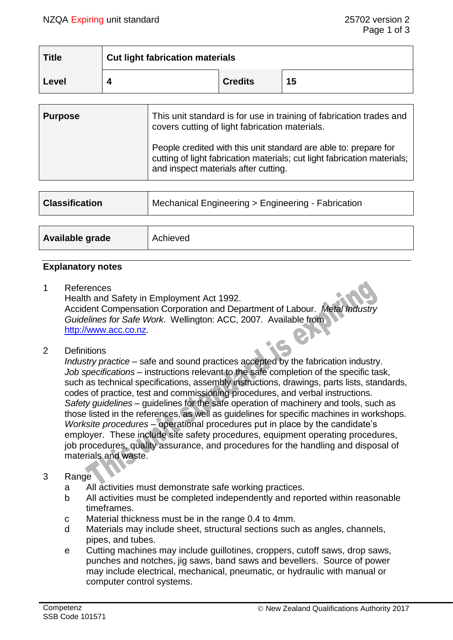| <b>Title</b> | <b>Cut light fabrication materials</b> |                |    |
|--------------|----------------------------------------|----------------|----|
| Level        |                                        | <b>Credits</b> | 15 |

| <b>Purpose</b> | This unit standard is for use in training of fabrication trades and<br>covers cutting of light fabrication materials.                                                                |
|----------------|--------------------------------------------------------------------------------------------------------------------------------------------------------------------------------------|
|                | People credited with this unit standard are able to: prepare for<br>cutting of light fabrication materials; cut light fabrication materials;<br>and inspect materials after cutting. |

| <b>Classification</b> | Mechanical Engineering > Engineering - Fabrication |
|-----------------------|----------------------------------------------------|
|                       |                                                    |
| Available grade       | Achieved                                           |

#### **Explanatory notes**

1 References

Health and Safety in Employment Act 1992. Accident Compensation Corporation and Department of Labour. *Metal Industry Guidelines for Safe Work*. Wellington: ACC, 2007. Available from [http://www.acc.co.nz.](http://www.acc.co.nz/)

2 Definitions

*Industry practice* – safe and sound practices accepted by the fabrication industry. *Job specifications* – instructions relevant to the safe completion of the specific task, such as technical specifications, assembly instructions, drawings, parts lists, standards, codes of practice, test and commissioning procedures, and verbal instructions. *Safety guidelines* – guidelines for the safe operation of machinery and tools, such as those listed in the references, as well as guidelines for specific machines in workshops. *Worksite procedures* – operational procedures put in place by the candidate's employer. These include site safety procedures, equipment operating procedures, job procedures, quality assurance, and procedures for the handling and disposal of materials and waste.

## 3 Range

- a All activities must demonstrate safe working practices.
- b All activities must be completed independently and reported within reasonable timeframes.
- c Material thickness must be in the range 0.4 to 4mm.
- d Materials may include sheet, structural sections such as angles, channels, pipes, and tubes.
- e Cutting machines may include guillotines, croppers, cutoff saws, drop saws, punches and notches, jig saws, band saws and bevellers. Source of power may include electrical, mechanical, pneumatic, or hydraulic with manual or computer control systems.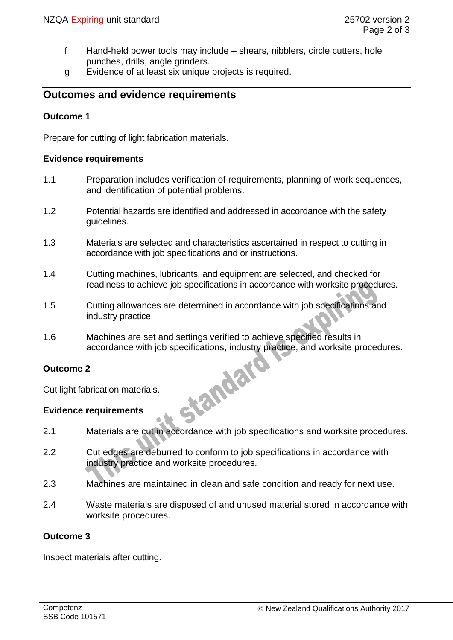- f Hand-held power tools may include shears, nibblers, circle cutters, hole punches, drills, angle grinders.
- g Evidence of at least six unique projects is required.

# **Outcomes and evidence requirements**

## **Outcome 1**

Prepare for cutting of light fabrication materials.

#### **Evidence requirements**

- 1.1 Preparation includes verification of requirements, planning of work sequences, and identification of potential problems.
- 1.2 Potential hazards are identified and addressed in accordance with the safety guidelines.
- 1.3 Materials are selected and characteristics ascertained in respect to cutting in accordance with job specifications and or instructions.
- 1.4 Cutting machines, lubricants, and equipment are selected, and checked for readiness to achieve job specifications in accordance with worksite procedures.
- 1.5 Cutting allowances are determined in accordance with job specifications and industry practice.
- 1.6 Machines are set and settings verified to achieve specified results in accordance with job specifications, industry practice, and worksite procedures.<br>
2<br>
brication materials.<br>
requirements

## **Outcome 2**

Cut light fabrication materials.

## **Evidence requirements**

- 2.1 Materials are cut in accordance with job specifications and worksite procedures.
- 2.2 Cut edges are deburred to conform to job specifications in accordance with industry practice and worksite procedures.
- 2.3 Machines are maintained in clean and safe condition and ready for next use.
- 2.4 Waste materials are disposed of and unused material stored in accordance with worksite procedures.

### **Outcome 3**

Inspect materials after cutting.